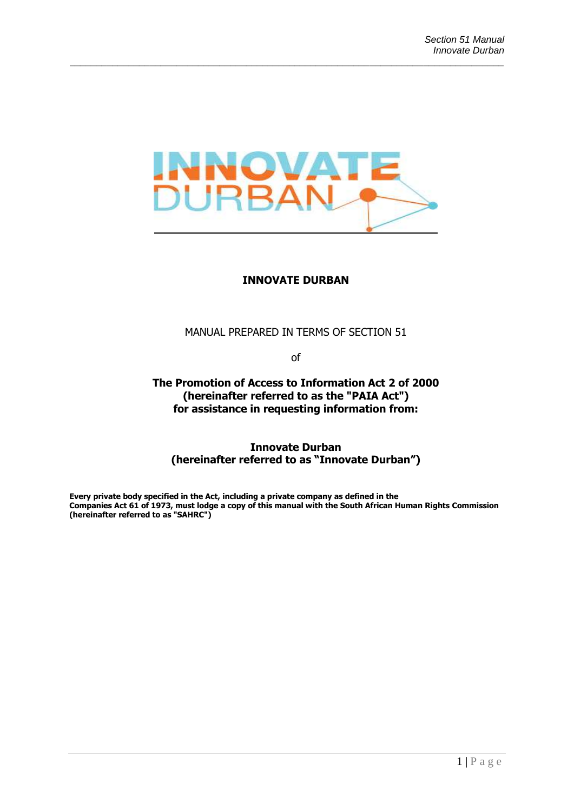

#### **INNOVATE DURBAN**

MANUAL PREPARED IN TERMS OF SECTION 51

of

**The Promotion of Access to Information Act 2 of 2000 (hereinafter referred to as the "PAIA Act") for assistance in requesting information from:**

**Innovate Durban (hereinafter referred to as "Innovate Durban")**

**Every private body specified in the Act, including a private company as defined in the Companies Act 61 of 1973, must lodge a copy of this manual with the South African Human Rights Commission (hereinafter referred to as "SAHRC")**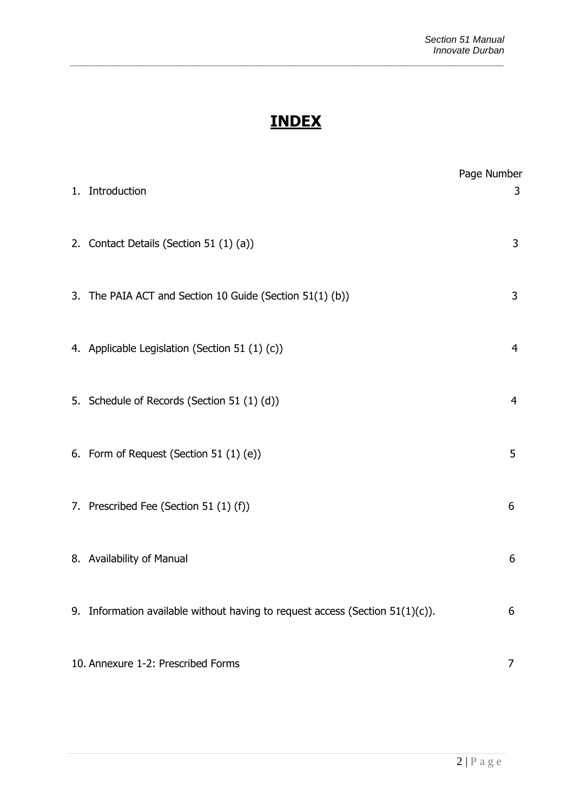# **INDEX**

*\_\_\_\_\_\_\_\_\_\_\_\_\_\_\_\_\_\_\_\_\_\_\_\_\_\_\_\_\_\_\_\_\_\_\_\_\_\_\_\_\_\_\_\_\_\_\_\_\_\_\_\_\_\_\_\_\_\_\_\_\_\_\_\_\_\_\_\_\_\_\_\_\_\_\_\_\_\_\_\_\_*

| 1. | Introduction                                                                     | Page Number<br>3 |
|----|----------------------------------------------------------------------------------|------------------|
|    | 2. Contact Details (Section 51 (1) (a))                                          | 3                |
|    | 3. The PAIA ACT and Section 10 Guide (Section 51(1) (b))                         | 3                |
|    | 4. Applicable Legislation (Section 51 (1) (c))                                   | 4                |
|    | 5. Schedule of Records (Section 51 (1) (d))                                      | 4                |
|    | 6. Form of Request (Section 51 (1) (e))                                          | 5                |
|    | 7. Prescribed Fee (Section 51 (1) (f))                                           | 6                |
|    | 8. Availability of Manual                                                        | 6                |
|    | 9. Information available without having to request access (Section $51(1)(c)$ ). | 6                |
|    | 10. Annexure 1-2: Prescribed Forms                                               | 7                |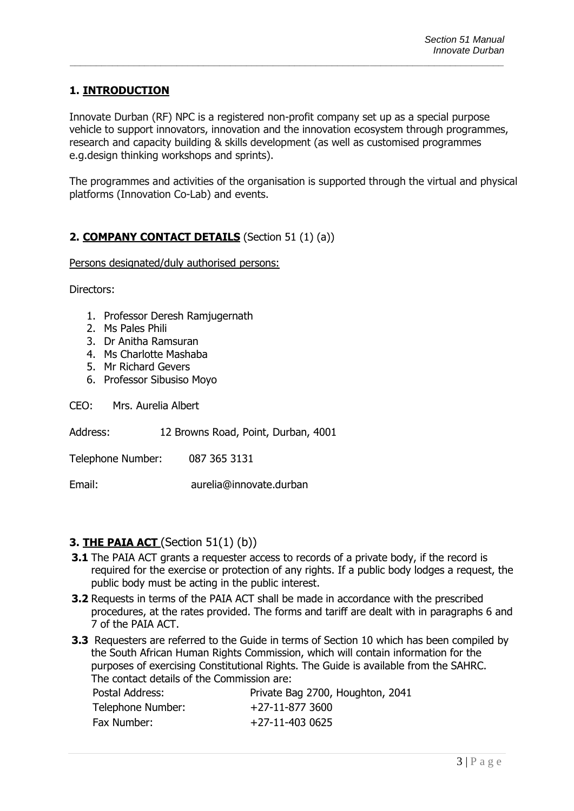## **1. INTRODUCTION**

Innovate Durban (RF) NPC is a registered non-profit company set up as a special purpose vehicle to support innovators, innovation and the innovation ecosystem through programmes, research and capacity building & skills development (as well as customised programmes e.g.design thinking workshops and sprints).

*\_\_\_\_\_\_\_\_\_\_\_\_\_\_\_\_\_\_\_\_\_\_\_\_\_\_\_\_\_\_\_\_\_\_\_\_\_\_\_\_\_\_\_\_\_\_\_\_\_\_\_\_\_\_\_\_\_\_\_\_\_\_\_\_\_\_\_\_\_\_\_\_\_\_\_\_\_\_\_\_\_*

The programmes and activities of the organisation is supported through the virtual and physical platforms (Innovation Co-Lab) and events.

## **2. COMPANY CONTACT DETAILS** (Section 51 (1) (a))

Persons designated/duly authorised persons:

Directors:

- 1. Professor Deresh Ramjugernath
- 2. Ms Pales Phili
- 3. Dr Anitha Ramsuran
- 4. Ms Charlotte Mashaba
- 5. Mr Richard Gevers
- 6. Professor Sibusiso Moyo
- CEO: Mrs. Aurelia Albert
- Address: 12 Browns Road, Point, Durban, 4001
- Telephone Number: 087 365 3131

Email: aurelia@innovate.durban

#### **3. THE PAIA ACT** (Section 51(1) (b))

- **3.1** The PAIA ACT grants a requester access to records of a private body, if the record is required for the exercise or protection of any rights. If a public body lodges a request, the public body must be acting in the public interest.
- **3.2** Requests in terms of the PAIA ACT shall be made in accordance with the prescribed procedures, at the rates provided. The forms and tariff are dealt with in paragraphs 6 and 7 of the PAIA ACT.
- **3.3** Requesters are referred to the Guide in terms of Section 10 which has been compiled by the South African Human Rights Commission, which will contain information for the purposes of exercising Constitutional Rights. The Guide is available from the SAHRC. The contact details of the Commission are:

| Postal Address:   | Private Bag 2700, Houghton, 2041 |
|-------------------|----------------------------------|
| Telephone Number: | +27-11-877 3600                  |
| Fax Number:       | +27-11-403 0625                  |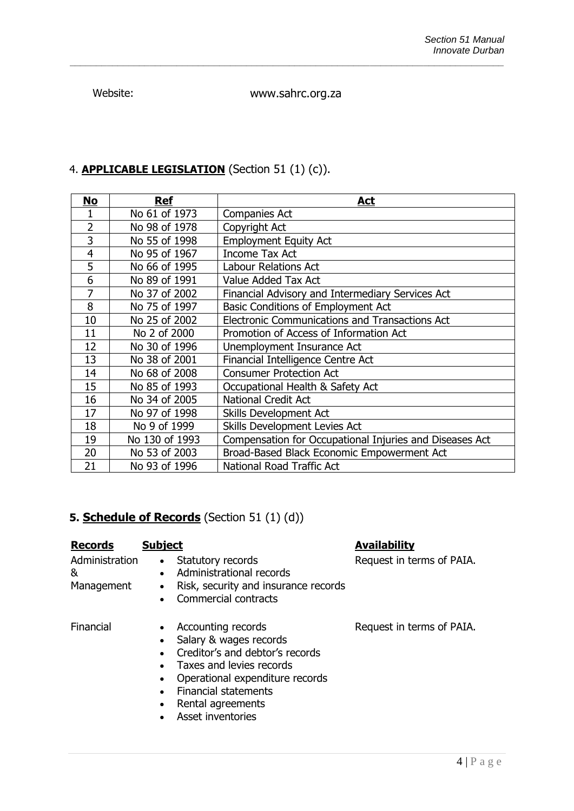Website: www.sahrc.org.za

*\_\_\_\_\_\_\_\_\_\_\_\_\_\_\_\_\_\_\_\_\_\_\_\_\_\_\_\_\_\_\_\_\_\_\_\_\_\_\_\_\_\_\_\_\_\_\_\_\_\_\_\_\_\_\_\_\_\_\_\_\_\_\_\_\_\_\_\_\_\_\_\_\_\_\_\_\_\_\_\_\_*

## 4. **APPLICABLE LEGISLATION** (Section 51 (1) (c)).

| <u>No</u>      | <b>Ref</b>     | Act                                                     |
|----------------|----------------|---------------------------------------------------------|
| 1              | No 61 of 1973  | <b>Companies Act</b>                                    |
| $\overline{2}$ | No 98 of 1978  | Copyright Act                                           |
| 3              | No 55 of 1998  | <b>Employment Equity Act</b>                            |
| 4              | No 95 of 1967  | <b>Income Tax Act</b>                                   |
| 5              | No 66 of 1995  | <b>Labour Relations Act</b>                             |
| 6              | No 89 of 1991  | Value Added Tax Act                                     |
| 7              | No 37 of 2002  | Financial Advisory and Intermediary Services Act        |
| 8              | No 75 of 1997  | Basic Conditions of Employment Act                      |
| 10             | No 25 of 2002  | <b>Electronic Communications and Transactions Act</b>   |
| 11             | No 2 of 2000   | Promotion of Access of Information Act                  |
| 12             | No 30 of 1996  | Unemployment Insurance Act                              |
| 13             | No 38 of 2001  | Financial Intelligence Centre Act                       |
| 14             | No 68 of 2008  | <b>Consumer Protection Act</b>                          |
| 15             | No 85 of 1993  | Occupational Health & Safety Act                        |
| 16             | No 34 of 2005  | <b>National Credit Act</b>                              |
| 17             | No 97 of 1998  | Skills Development Act                                  |
| 18             | No 9 of 1999   | Skills Development Levies Act                           |
| 19             | No 130 of 1993 | Compensation for Occupational Injuries and Diseases Act |
| 20             | No 53 of 2003  | Broad-Based Black Economic Empowerment Act              |
| 21             | No 93 of 1996  | <b>National Road Traffic Act</b>                        |

## **5. Schedule of Records** (Section 51 (1) (d))

| <b>Records</b><br>Administration<br>&<br>Management | <b>Subject</b><br>Statutory records<br>$\bullet$<br>Administrational records<br>$\bullet$<br>Risk, security and insurance records<br>$\bullet$<br>Commercial contracts                                                                                         | <b>Availability</b><br>Request in terms of PAIA. |
|-----------------------------------------------------|----------------------------------------------------------------------------------------------------------------------------------------------------------------------------------------------------------------------------------------------------------------|--------------------------------------------------|
| Financial                                           | Accounting records<br>$\bullet$<br>Salary & wages records<br>Creditor's and debtor's records<br>Taxes and levies records<br>$\bullet$<br>Operational expenditure records<br><b>Financial statements</b><br>$\bullet$<br>Rental agreements<br>Asset inventories | Request in terms of PAIA.                        |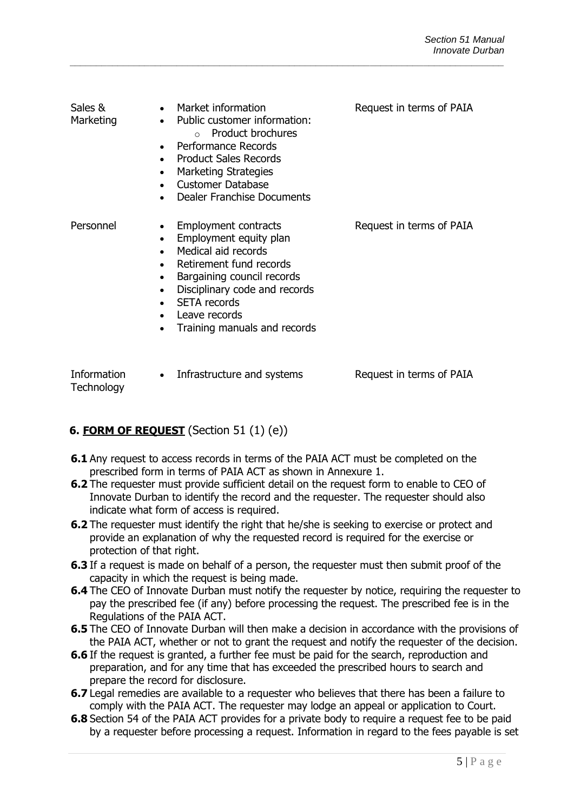| Sales &<br>Marketing | Market information<br>• Public customer information:<br>$\circ$ Product brochures<br>Performance Records<br><b>Product Sales Records</b><br><b>Marketing Strategies</b><br><b>Customer Database</b><br>Dealer Franchise Documents                           | Request in terms of PAIA |
|----------------------|-------------------------------------------------------------------------------------------------------------------------------------------------------------------------------------------------------------------------------------------------------------|--------------------------|
| Personnel            | <b>Employment contracts</b><br>Employment equity plan<br>Medical aid records<br>Retirement fund records<br>Bargaining council records<br>$\bullet$<br>Disciplinary code and records<br><b>SETA</b> records<br>Leave records<br>Training manuals and records | Request in terms of PAIA |

Information **Technology** 

• Infrastructure and systems Request in terms of PAIA

## **6. FORM OF REQUEST** (Section 51 (1) (e))

- **6.1** Any request to access records in terms of the PAIA ACT must be completed on the prescribed form in terms of PAIA ACT as shown in Annexure 1.
- **6.2** The requester must provide sufficient detail on the request form to enable to CEO of Innovate Durban to identify the record and the requester. The requester should also indicate what form of access is required.
- **6.2** The requester must identify the right that he/she is seeking to exercise or protect and provide an explanation of why the requested record is required for the exercise or protection of that right.
- **6.3** If a request is made on behalf of a person, the requester must then submit proof of the capacity in which the request is being made.
- **6.4** The CEO of Innovate Durban must notify the requester by notice, requiring the requester to pay the prescribed fee (if any) before processing the request. The prescribed fee is in the Regulations of the PAIA ACT.
- **6.5** The CEO of Innovate Durban will then make a decision in accordance with the provisions of the PAIA ACT, whether or not to grant the request and notify the requester of the decision.
- **6.6** If the request is granted, a further fee must be paid for the search, reproduction and preparation, and for any time that has exceeded the prescribed hours to search and prepare the record for disclosure.
- **6.7** Legal remedies are available to a requester who believes that there has been a failure to comply with the PAIA ACT. The requester may lodge an appeal or application to Court.
- **6.8** Section 54 of the PAIA ACT provides for a private body to require a request fee to be paid by a requester before processing a request. Information in regard to the fees payable is set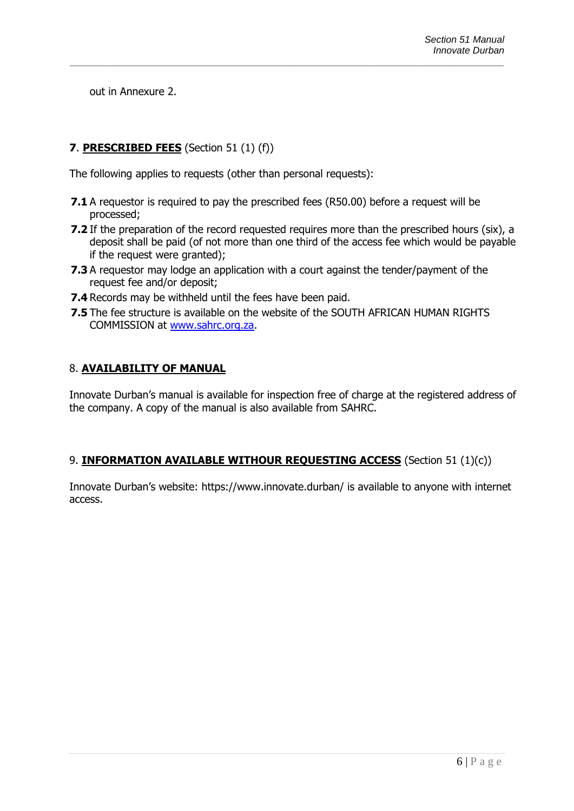out in Annexure 2.

## **7**. **PRESCRIBED FEES** (Section 51 (1) (f))

The following applies to requests (other than personal requests):

**7.1** A requestor is required to pay the prescribed fees (R50.00) before a request will be processed;

*\_\_\_\_\_\_\_\_\_\_\_\_\_\_\_\_\_\_\_\_\_\_\_\_\_\_\_\_\_\_\_\_\_\_\_\_\_\_\_\_\_\_\_\_\_\_\_\_\_\_\_\_\_\_\_\_\_\_\_\_\_\_\_\_\_\_\_\_\_\_\_\_\_\_\_\_\_\_\_\_\_*

- **7.2** If the preparation of the record requested requires more than the prescribed hours (six), a deposit shall be paid (of not more than one third of the access fee which would be payable if the request were granted);
- **7.3** A requestor may lodge an application with a court against the tender/payment of the request fee and/or deposit;
- **7.4** Records may be withheld until the fees have been paid.
- **7.5** The fee structure is available on the website of the SOUTH AFRICAN HUMAN RIGHTS COMMISSION at [www.sahrc.org.za.](http://www.sahrc.org.za/)

## 8. **AVAILABILITY OF MANUAL**

Innovate Durban's manual is available for inspection free of charge at the registered address of the company. A copy of the manual is also available from SAHRC.

## 9. **INFORMATION AVAILABLE WITHOUR REQUESTING ACCESS** (Section 51 (1)(c))

Innovate Durban's website: https://www.innovate.durban/ is available to anyone with internet access.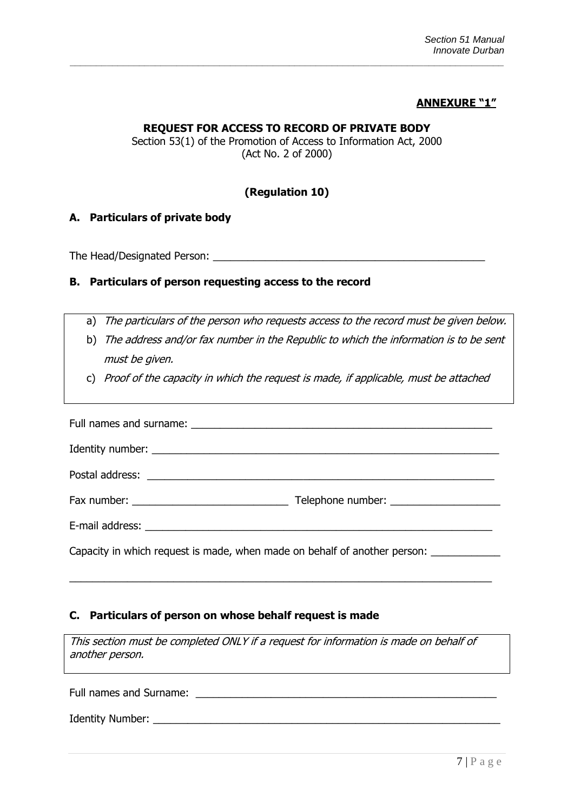#### **ANNEXURE "1"**

#### **REQUEST FOR ACCESS TO RECORD OF PRIVATE BODY**

*\_\_\_\_\_\_\_\_\_\_\_\_\_\_\_\_\_\_\_\_\_\_\_\_\_\_\_\_\_\_\_\_\_\_\_\_\_\_\_\_\_\_\_\_\_\_\_\_\_\_\_\_\_\_\_\_\_\_\_\_\_\_\_\_\_\_\_\_\_\_\_\_\_\_\_\_\_\_\_\_\_*

Section 53(1) of the Promotion of Access to Information Act, 2000 (Act No. 2 of 2000)

#### **(Regulation 10)**

#### **A. Particulars of private body**

The Head/Designated Person: \_\_\_\_\_\_\_\_\_\_\_\_\_\_\_\_\_\_\_\_\_\_\_\_\_\_\_\_\_\_\_\_\_\_\_\_\_\_\_\_\_\_\_\_\_\_\_

#### **B. Particulars of person requesting access to the record**

- a) The particulars of the person who requests access to the record must be given below.
- b) The address and/or fax number in the Republic to which the information is to be sent must be given.
- c) Proof of the capacity in which the request is made, if applicable, must be attached

| Capacity in which request is made, when made on behalf of another person: _____________ |  |  |  |
|-----------------------------------------------------------------------------------------|--|--|--|

#### **C. Particulars of person on whose behalf request is made**

This section must be completed ONLY if a request for information is made on behalf of another person.

\_\_\_\_\_\_\_\_\_\_\_\_\_\_\_\_\_\_\_\_\_\_\_\_\_\_\_\_\_\_\_\_\_\_\_\_\_\_\_\_\_\_\_\_\_\_\_\_\_\_\_\_\_\_\_\_\_\_\_\_\_\_\_\_\_\_\_\_\_\_\_\_\_

Full names and Surname: \_\_\_\_\_\_\_\_\_\_\_\_\_\_\_\_\_\_\_\_\_\_\_\_\_\_\_\_\_\_\_\_\_\_\_\_\_\_\_\_\_\_\_\_\_\_\_\_\_\_\_\_

Identity Number: \_\_\_\_\_\_\_\_\_\_\_\_\_\_\_\_\_\_\_\_\_\_\_\_\_\_\_\_\_\_\_\_\_\_\_\_\_\_\_\_\_\_\_\_\_\_\_\_\_\_\_\_\_\_\_\_\_\_\_\_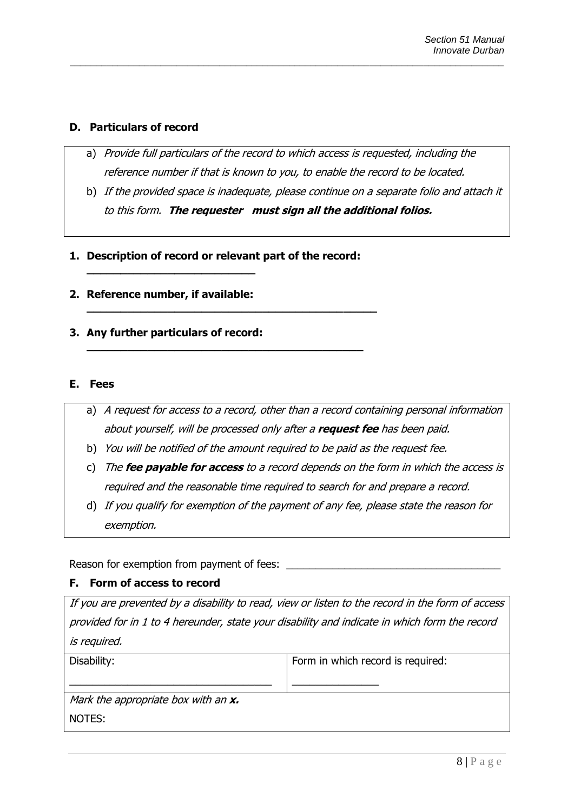#### **D. Particulars of record**

a) Provide full particulars of the record to which access is requested, including the reference number if that is known to you, to enable the record to be located.

*\_\_\_\_\_\_\_\_\_\_\_\_\_\_\_\_\_\_\_\_\_\_\_\_\_\_\_\_\_\_\_\_\_\_\_\_\_\_\_\_\_\_\_\_\_\_\_\_\_\_\_\_\_\_\_\_\_\_\_\_\_\_\_\_\_\_\_\_\_\_\_\_\_\_\_\_\_\_\_\_\_*

- b) If the provided space is inadequate, please continue on a separate folio and attach it to this form. **The requester must sign all the additional folios.**
- **1. Description of record or relevant part of the record:**

**\_\_\_\_\_\_\_\_\_\_\_\_\_\_\_\_\_\_\_\_\_\_\_\_\_\_\_\_\_\_\_\_\_\_\_\_\_\_\_\_\_\_\_**

**\_\_\_\_\_\_\_\_\_\_\_\_\_\_\_\_\_\_\_\_\_\_\_\_\_\_\_\_\_\_\_\_\_\_\_\_\_\_\_\_\_**

**2. Reference number, if available:** 

**\_\_\_\_\_\_\_\_\_\_\_\_\_\_\_\_\_\_\_\_\_\_\_\_\_**

**3. Any further particulars of record:** 

#### **E. Fees**

- a) A request for access to a record, other than a record containing personal information about yourself, will be processed only after a **request fee** has been paid.
- b) You will be notified of the amount required to be paid as the request fee.
- c) The **fee payable for access** to a record depends on the form in which the access is required and the reasonable time required to search for and prepare a record.
- d) If you qualify for exemption of the payment of any fee, please state the reason for exemption.

Reason for exemption from payment of fees:

#### **F. Form of access to record**

If you are prevented by a disability to read, view or listen to the record in the form of access provided for in 1 to 4 hereunder, state your disability and indicate in which form the record is required.

| Disability:                                 | Form in which record is required: |
|---------------------------------------------|-----------------------------------|
|                                             |                                   |
| Mark the appropriate box with an <b>x</b> . |                                   |
| NOTES:                                      |                                   |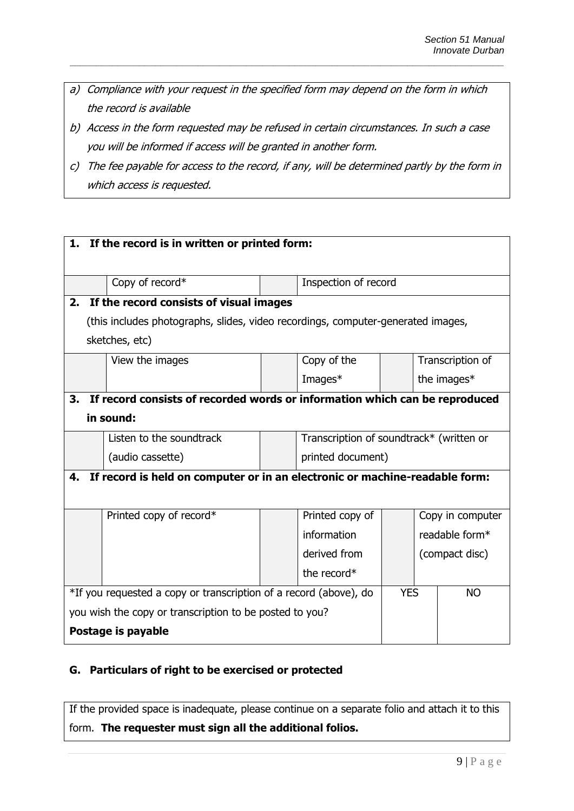a) Compliance with your request in the specified form may depend on the form in which the record is available

*\_\_\_\_\_\_\_\_\_\_\_\_\_\_\_\_\_\_\_\_\_\_\_\_\_\_\_\_\_\_\_\_\_\_\_\_\_\_\_\_\_\_\_\_\_\_\_\_\_\_\_\_\_\_\_\_\_\_\_\_\_\_\_\_\_\_\_\_\_\_\_\_\_\_\_\_\_\_\_\_\_*

- b) Access in the form requested may be refused in certain circumstances. In such a case you will be informed if access will be granted in another form.
- c) The fee payable for access to the record, if any, will be determined partly by the form in which access is requested.

| 1. If the record is in written or printed form:                   |                                                                                  |            |                                          |           |  |                  |
|-------------------------------------------------------------------|----------------------------------------------------------------------------------|------------|------------------------------------------|-----------|--|------------------|
|                                                                   |                                                                                  |            |                                          |           |  |                  |
|                                                                   | Copy of record*                                                                  |            | Inspection of record                     |           |  |                  |
| 2.                                                                | If the record consists of visual images                                          |            |                                          |           |  |                  |
|                                                                   | (this includes photographs, slides, video recordings, computer-generated images, |            |                                          |           |  |                  |
|                                                                   | sketches, etc)                                                                   |            |                                          |           |  |                  |
|                                                                   | View the images                                                                  |            | Copy of the                              |           |  | Transcription of |
|                                                                   |                                                                                  |            | Images*                                  |           |  | the images*      |
| 3.                                                                | If record consists of recorded words or information which can be reproduced      |            |                                          |           |  |                  |
|                                                                   | in sound:                                                                        |            |                                          |           |  |                  |
|                                                                   | Listen to the soundtrack                                                         |            | Transcription of soundtrack* (written or |           |  |                  |
|                                                                   | (audio cassette)                                                                 |            | printed document)                        |           |  |                  |
| 4.                                                                | If record is held on computer or in an electronic or machine-readable form:      |            |                                          |           |  |                  |
|                                                                   |                                                                                  |            |                                          |           |  |                  |
|                                                                   | Printed copy of record*                                                          |            | Printed copy of                          |           |  | Copy in computer |
|                                                                   |                                                                                  |            | information                              |           |  | readable form*   |
|                                                                   |                                                                                  |            | derived from<br>(compact disc)           |           |  |                  |
|                                                                   |                                                                                  |            | the record $*$                           |           |  |                  |
| *If you requested a copy or transcription of a record (above), do |                                                                                  | <b>YES</b> |                                          | <b>NO</b> |  |                  |
| you wish the copy or transcription to be posted to you?           |                                                                                  |            |                                          |           |  |                  |
|                                                                   | Postage is payable                                                               |            |                                          |           |  |                  |

#### **G. Particulars of right to be exercised or protected**

If the provided space is inadequate, please continue on a separate folio and attach it to this form. **The requester must sign all the additional folios.**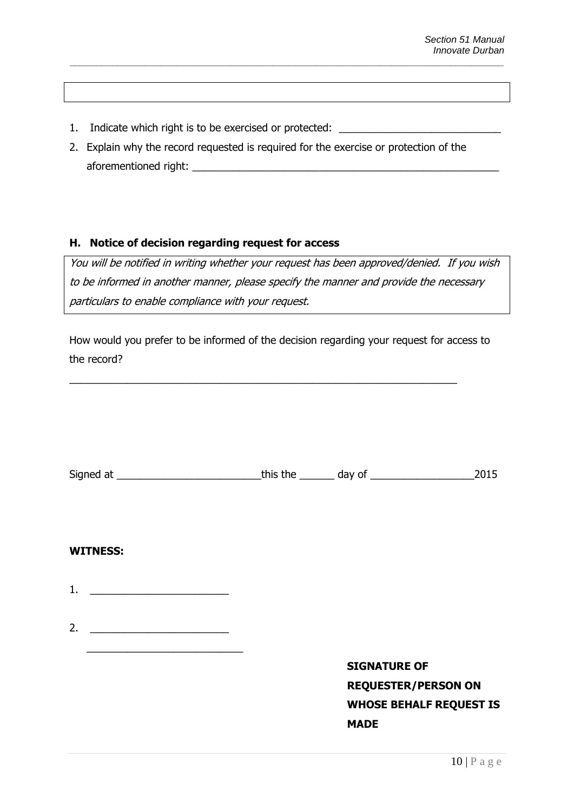- 1. Indicate which right is to be exercised or protected: \_\_\_\_\_\_\_\_\_\_\_\_\_\_\_\_\_\_\_\_\_\_\_
- 2. Explain why the record requested is required for the exercise or protection of the aforementioned right:

#### **H. Notice of decision regarding request for access**

You will be notified in writing whether your request has been approved/denied. If you wish to be informed in another manner, please specify the manner and provide the necessary particulars to enable compliance with your request.

How would you prefer to be informed of the decision regarding your request for access to the record?

 $\_$  , and the set of the set of the set of the set of the set of the set of the set of the set of the set of the set of the set of the set of the set of the set of the set of the set of the set of the set of the set of th

|                                                         |                                | 2015 |
|---------------------------------------------------------|--------------------------------|------|
|                                                         |                                |      |
|                                                         |                                |      |
| <b>WITNESS:</b>                                         |                                |      |
| 1. $\qquad \qquad$                                      |                                |      |
|                                                         |                                |      |
| 2.<br><u> 1989 - Johann Barbara, martin amerikan ba</u> |                                |      |
|                                                         |                                |      |
|                                                         | <b>SIGNATURE OF</b>            |      |
|                                                         | <b>REQUESTER/PERSON ON</b>     |      |
|                                                         | <b>WHOSE BEHALF REQUEST IS</b> |      |
|                                                         | <b>MADE</b>                    |      |
|                                                         |                                |      |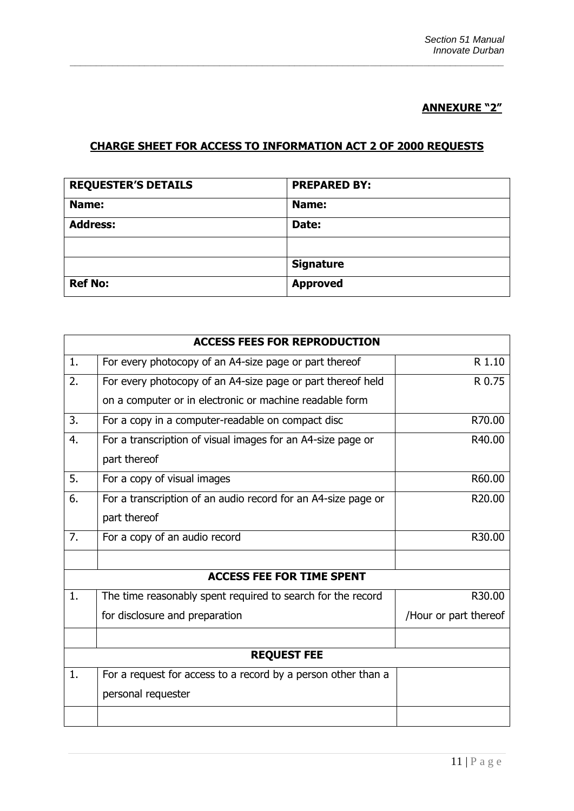## **ANNEXURE "2"**

## **CHARGE SHEET FOR ACCESS TO INFORMATION ACT 2 OF 2000 REQUESTS**

*\_\_\_\_\_\_\_\_\_\_\_\_\_\_\_\_\_\_\_\_\_\_\_\_\_\_\_\_\_\_\_\_\_\_\_\_\_\_\_\_\_\_\_\_\_\_\_\_\_\_\_\_\_\_\_\_\_\_\_\_\_\_\_\_\_\_\_\_\_\_\_\_\_\_\_\_\_\_\_\_\_*

| <b>REQUESTER'S DETAILS</b> | <b>PREPARED BY:</b> |
|----------------------------|---------------------|
| Name:                      | Name:               |
| <b>Address:</b>            | Date:               |
|                            |                     |
|                            | <b>Signature</b>    |
| <b>Ref No:</b>             | <b>Approved</b>     |

|                | <b>ACCESS FEES FOR REPRODUCTION</b>                           |                       |
|----------------|---------------------------------------------------------------|-----------------------|
| 1.             | For every photocopy of an A4-size page or part thereof        | R 1.10                |
| 2.             | For every photocopy of an A4-size page or part thereof held   | R 0.75                |
|                | on a computer or in electronic or machine readable form       |                       |
| 3.             | For a copy in a computer-readable on compact disc             | R70.00                |
| 4.             | For a transcription of visual images for an A4-size page or   | R40.00                |
|                | part thereof                                                  |                       |
| 5.             | For a copy of visual images                                   | R60.00                |
| 6.             | For a transcription of an audio record for an A4-size page or | R20.00                |
|                | part thereof                                                  |                       |
| 7.             | For a copy of an audio record                                 | R30.00                |
|                |                                                               |                       |
|                | <b>ACCESS FEE FOR TIME SPENT</b>                              |                       |
| $\mathbf{1}$ . | The time reasonably spent required to search for the record   | R30.00                |
|                | for disclosure and preparation                                | /Hour or part thereof |
|                |                                                               |                       |
|                | <b>REQUEST FEE</b>                                            |                       |
| 1.             | For a request for access to a record by a person other than a |                       |
|                | personal requester                                            |                       |
|                |                                                               |                       |